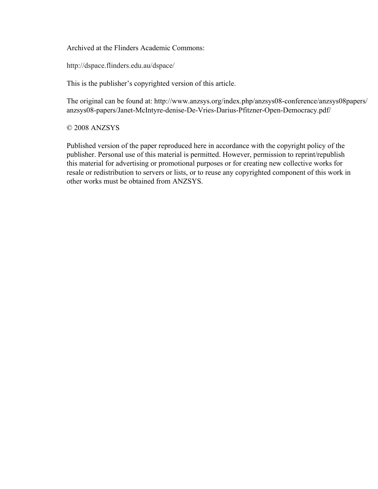Archived at the Flinders Academic Commons:

http://dspace.flinders.edu.au/dspace/

This is the publisher's copyrighted version of this article.

The original can be found at: http://www.anzsys.org/index.php/anzsys08-conference/anzsys08papers/ anzsys08-papers/Janet-McIntyre-denise-De-Vries-Darius-Pfitzner-Open-Democracy.pdf/

© 2008 ANZSYS

Published version of the paper reproduced here in accordance with the copyright policy of the publisher. Personal use of this material is permitted. However, permission to reprint/republish this material for advertising or promotional purposes or for creating new collective works for resale or redistribution to servers or lists, or to reuse any copyrighted component of this work in other works must be obtained from ANZSYS.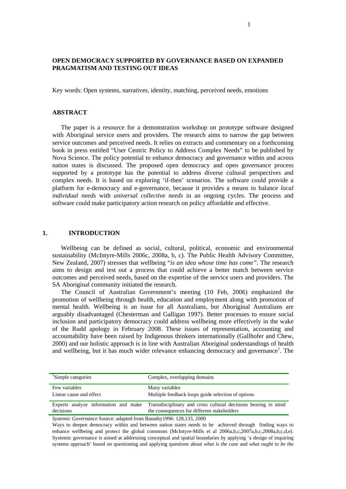## **OPEN DEMOCRACY SUPPORTED BY GOVERNANCE BASED ON EXPANDED PRAGMATISM AND TESTING OUT IDEAS**

Key words: Open systems, narratives, identity, matching, perceived needs, emotions

### **ABSTRACT**

The paper is a resource for a demonstration workshop on prototype software designed with Aboriginal service users and providers. The research aims to narrow the gap between service outcomes and perceived needs. It relies on extracts and commentary on a forthcoming book in press entitled "User Centric Policy to Address Complex Needs" to be published by Nova Science. The policy potential to enhance democracy and governance within and across nation states is discussed. The proposed open democracy and open governance process supported by a prototype has the potential to address diverse cultural perspectives and complex needs. It is based on exploring 'if-then' scenarios. The software could provide a platform for e-democracy and e-governance, because it provides a means to balance *local individual needs* with *universal collective needs* in an ongoing cycles. The process and software could make participatory action research on policy affordable and effective.

### **1. INTRODUCTION**

Wellbeing can be defined as social, cultural, political, economic and environmental sustainability (McIntyre-Mills 2006c, 2008a, b, c). The Public Health Advisory Committee, New Zealand, 2007) stresses that wellbeing "*is an idea whose time has come".* The research aims to design and test out a process that could achieve a better match between service outcomes and perceived needs, based on the expertise of the service users and providers. The SA Aboriginal community initiated the research.

The Council of Australian Government's meeting (10 Feb, 2006) emphasized the promotion of wellbeing through health, education and employment along with promotion of mental health. Wellbeing is an issue for all Australians, but Aboriginal Australians are arguably disadvantaged (Chesterman and Galligan 1997). Better processes to ensure social inclusion and participatory democracy could address wellbeing more effectively in the wake of the Rudd apology in February 2008. These issues of representation, accounting and accountability have been raised by Indigenous thinkers internationally (Gallhofer and Chew, 2000) and our holistic approach is in line with Australian Aboriginal understandings of health and wellbeing, but it has much wider relevance enhancing democracy and governance<sup>1</sup>. The

| <sup>1</sup> Simple categories           | Complex, overlapping domains                                                                                                                       |
|------------------------------------------|----------------------------------------------------------------------------------------------------------------------------------------------------|
| Few variables<br>Linear cause and effect | Many variables<br>Multiple feedback loops guide selection of options                                                                               |
| decisions                                | Experts analyze information and make Transdisciplinary and cross cultural decisions bearing in mind<br>the consequences for different stakeholders |

*Systemic Governance* Source: adapted from Banathy1996: 128,133, 2000

Ways to deepen democracy within and between nation states needs to be achieved through finding ways to enhance wellbeing and protect the global commons (McIntyre-Mills et al 2006a,b,c,2007a,b,c,2008a,b,c,d,e). Systemic governance is aimed at addressing conceptual and spatial boundaries by applying 'a design of inquiring systems approach' based on questioning and applying questions about *what is the case* and *what ought to be the*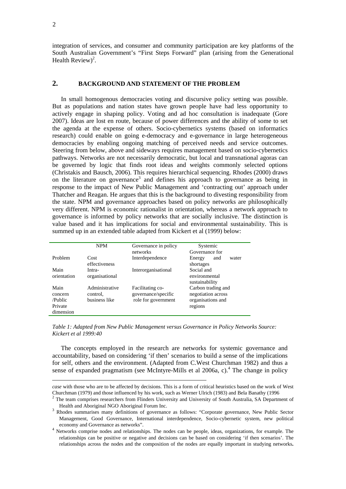integration of services, and consumer and community participation are key platforms of the South Australian Government's "First Steps Forward" plan (arising from the Generational Health Review)<sup>2</sup>.

## **2. BACKGROUND AND STATEMENT OF THE PROBLEM**

In small homogenous democracies voting and discursive policy setting was possible. But as populations and nation states have grown people have had less opportunity to actively engage in shaping policy. Voting and ad hoc consultation is inadequate (Gore 2007). Ideas are lost en route, because of power differences and the ability of some to set the agenda at the expense of others. Socio-cybernetics systems (based on informatics research) could enable on going e-democracy and e-governance in large heterogeneous democracies by enabling ongoing matching of perceived needs and service outcomes. Steering from below, above and sideways requires management based on socio-cybernetics pathways. Networks are not necessarily democratic, but local and transnational agoras can be governed by logic that finds root ideas and weights commonly selected options (Christakis and Bausch, 2006). This requires hierarchical sequencing. Rhodes (2000) draws on the literature on governance<sup>3</sup> and defines his approach to governance as being in response to the impact of New Public Management and 'contracting out' approach under Thatcher and Reagan. He argues that this is the background to divesting responsibility from the state. NPM and governance approaches based on policy networks are philosophically very different. NPM is economic rationalist in orientation, whereas a network approach to governance is informed by policy networks that are socially inclusive. The distinction is value based and it has implications for social and environmental sustainability. This is summed up in an extended table adapted from Kickert et al (1999) below:

|                                                    | <b>NPM</b>                                  | Governance in policy<br>networks                               | Systemic<br>Governance for                                               |
|----------------------------------------------------|---------------------------------------------|----------------------------------------------------------------|--------------------------------------------------------------------------|
| Problem                                            | Cost<br>effectiveness                       | Interdependence                                                | Energy<br>and<br>water<br>shortages                                      |
| Main<br>orientation                                | Intra-<br>organisational                    | Interorganisational                                            | Social and<br>environmental<br>sustainability                            |
| Main<br>concern<br>/Public<br>Private<br>dimension | Administrative<br>control.<br>business like | Facilitating co-<br>governance/specific<br>role for government | Carbon trading and<br>negotiation across<br>organisations and<br>regions |

*Table 1: Adapted from New Public Management versus Governance in Policy Networks Source: Kickert et al 1999:40* 

The concepts employed in the research are networks for systemic governance and accountability, based on considering 'if then' scenarios to build a sense of the implications for self, others and the environment. (Adapted from C.West Churchman 1982) and thus a sense of expanded pragmatism (see McIntyre-Mills et al  $2006a$ , c).<sup>4</sup> The change in policy

-

*case* with those who are to be affected by decisions. This is a form of critical heuristics based on the work of West Churchman (1979) and those influenced by his work, such as Werner Ulrich (1983) and Bela Banathy (1996 2

The team comprises researchers from Flinders University and University of South Australia, SA Department of Health and Aboriginal NGO Aboriginal Forum Inc.

<sup>&</sup>lt;sup>3</sup> Rhodes summarises many definitions of governance as follows: "Corporate governance, New Public Sector Management, Good Governance, International interdependence, Socio-cybernetic system, new political economy and Governance as networks". 4

<sup>&</sup>lt;sup>4</sup> Networks comprise nodes and relationships. The nodes can be people, ideas, organizations, for example. The relationships can be positive or negative and decisions can be based on considering 'if then scenarios'. The relationships across the nodes and the composition of the nodes are equally important in studying networks**.**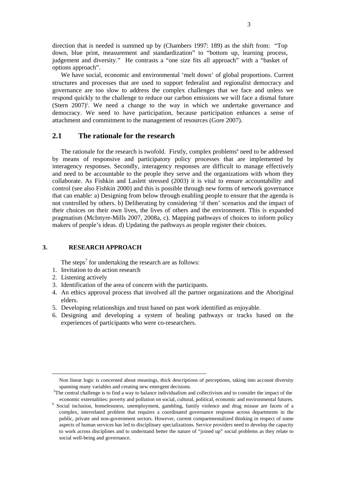direction that is needed is summed up by (Chambers 1997: 189) as the shift from: "Top down, blue print, measurement and standardization" to "bottom up, learning process, judgement and diversity." He contrasts a "one size fits all approach" with a "basket of options approach".

We have social, economic and environmental 'melt down' of global proportions. Current structures and processes that are used to support federalist and regionalist democracy and governance are too slow to address the complex challenges that we face and unless we respond quickly to the challenge to reduce our carbon emissions we will face a dismal future (Stern 2007)<sup>5</sup>. We need a change to the way in which we undertake governance and democracy. We need to have participation, because participation enhances a sense of attachment and commitment to the management of resources (Gore 2007).

# **2.1 The rationale for the research**

The rationale for the research is twofold. Firstly, complex problems<sup>6</sup> need to be addressed by means of responsive and participatory policy processes that are implemented by interagency responses. Secondly, interagency responses are difficult to manage effectively and need to be accountable to the people they serve and the organizations with whom they collaborate. As Fishkin and Laslett stressed (2003) it is vital to ensure accountability and control (see also Fishkin 2000) and this is possible through new forms of network governance that can enable: a) Designing from below through enabling people to ensure that the agenda is not controlled by others. b) Deliberating by considering 'if then' scenarios and the impact of their choices on their own lives, the lives of others and the environment. This is expanded pragmatism (McIntyre-Mills 2007, 2008a, c). Mapping pathways of choices to inform policy makers of people's ideas. d) Updating the pathways as people register their choices.

## **3. RESEARCH APPROACH**

The steps<sup>7</sup> for undertaking the research are as follows:

- 1. Invitation to do action research
- 2. Listening actively

1

- 3. Identification of the area of concern with the participants.
- 4. An ethics approval process that involved all the partner organizations and the Aboriginal elders.
- 5. Developing relationships and trust based on past work identified as enjoyable.
- 6. Designing and developing a system of healing pathways or tracks based on the experiences of participants who were co-researchers.

Non linear logic is concerned about meanings, thick descriptions of perceptions, taking into account diversity spanning many variables and creating new emergent decisions.

<sup>&</sup>lt;sup>5</sup>The central challenge is to find a way to balance individualism and collectivism and to consider the impact of the economic externalities: poverty and pollution on social, cultural, political, economic and environmental futures. 6

<sup>&</sup>lt;sup>6</sup> Social inclusion, homelessness, unemployment, gambling, family violence and drug misuse are facets of a complex, interrelated problem that requires a coordinated governance response across departments in the public, private and non-government sectors. However, current compartmentalized thinking in respect of some aspects of human services has led to disciplinary specializations. Service providers need to develop the capacity to work across disciplines and to understand better the nature of "joined up" social problems as they relate to social well-being and governance.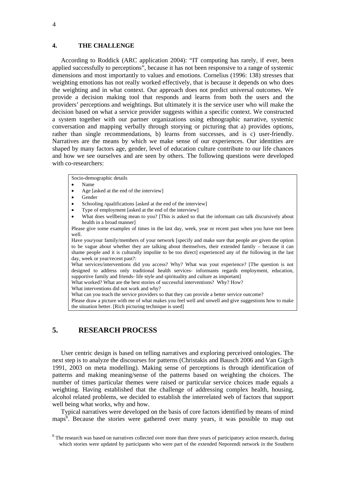#### **4. THE CHALLENGE**

According to Roddick (ARC application 2004): "IT computing has rarely, if ever, been applied successfully to perceptions", because it has not been responsive to a range of systemic dimensions and most importantly to values and emotions. Cornelius (1996: 138) stresses that weighting emotions has not really worked effectively, that is because it depends on who does the weighting and in what context. Our approach does not predict universal outcomes. We provide a decision making tool that responds and learns from both the users and the providers' perceptions and weightings. But ultimately it is the service user who will make the decision based on what a service provider suggests within a specific context. We constructed a system together with our partner organizations using ethnographic narrative, systemic conversation and mapping verbally through storying or picturing that a) provides options, rather than single recommendations, b) learns from successes, and is c) user-friendly. Narratives are the means by which we make sense of our experiences. Our identities are shaped by many factors age, gender, level of education culture contribute to our life chances and how we see ourselves and are seen by others. The following questions were developed with co-researchers:

Socio-demographic details

- Name
- Age lasked at the end of the interview
- Gender
- Schooling /qualifications [asked at the end of the interview]
- Type of employment [asked at the end of the interview]
- What does wellbeing mean to you? [This is asked so that the informant can talk discursively about health in a broad manner]

Please give some examples of times in the last day, week, year or recent past when you have not been well.

Have you/your family/members of your network [specify and make sure that people are given the option to be vague about whether they are talking about themselves, their extended family – because it can shame people and it is culturally impolite to be too direct] experienced any of the following in the last day, week or year/recent past?:

What services/interventions did you access? Why? What was your experience? [The question is not designed to address only traditional health services- informants regards employment, education, supportive family and friends- life style and spirituality and culture as important]

What worked? What are the best stories of successful interventions? Why? How?

What interventions did not work and why?

What can you teach the service providers so that they can provide a better service outcome?

Please draw a picture with me of what makes you feel well and unwell and give suggestions how to make the situation better. [Rich picturing technique is used]

# **5. RESEARCH PROCESS**

User centric design is based on telling narratives and exploring perceived ontologies. The next step is to analyze the discourses for patterns (Christakis and Bausch 2006 and Van Gigch 1991, 2003 on meta modelling). Making sense of perceptions is through identification of patterns and making meaning/sense of the patterns based on weighting the choices. The number of times particular themes were raised or particular service choices made equals a weighting. Having established that the challenge of addressing complex health, housing, alcohol related problems, we decided to establish the interrelated web of factors that support well being what works, why and how.

Typical narratives were developed on the basis of core factors identified by means of mind maps<sup>8</sup>. Because the stories were gathered over many years, it was possible to map out

 $8$  The research was based on narratives collected over more than three years of participatory action research, during which stories were updated by participants who were part of the extended Neporendi network in the Southern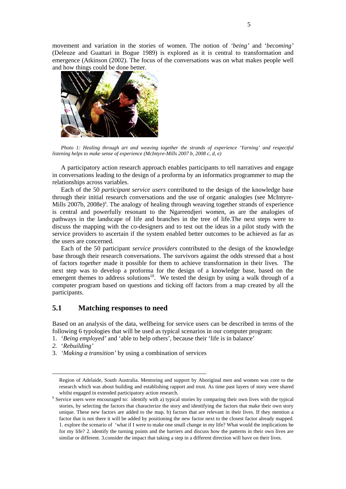movement and variation in the stories of women. The notion of *'being'* and '*becoming'*  (Deleuze and Guattari in Bogue 1989) is explored as it is central to transformation and emergence (Atkinson (2002). The focus of the conversations was on what makes people well and how things could be done better.



*Photo 1: Healing through art and weaving together the strands of experience 'Yarning' and respectful listening helps to make sense of experience (McIntyre-Mills 2007 b, 2008 c, d, e)* 

A participatory action research approach enables participants to tell narratives and engage in conversations leading to the design of a proforma by an informatics programmer to map the relationships across variables.

Each of the 50 *participant service users* contributed to the design of the knowledge base through their initial research conversations and the use of organic analogies (see McIntyre-Mills 2007b, 2008e)<sup>9</sup>. The analogy of healing through weaving together strands of experience is central and powerfully resonant to the Ngarrendjeri women, as are the analogies of pathways in the landscape of life and branches in the tree of life.The next steps were to discuss the mapping with the co-designers and to test out the ideas in a pilot study with the service providers to ascertain if the system enabled better outcomes to be achieved as far as the users are concerned.

Each of the 50 participant *service providers* contributed to the design of the knowledge base through their research conversations. The survivors against the odds stressed that a host of factors *together* made it possible for them to achieve transformation in their lives. The next step was to develop a proforma for the design of a knowledge base, based on the emergent themes to address solutions<sup>10</sup>. We tested the design by using a walk through of a computer program based on questions and ticking off factors from a map created by all the participants.

# **5.1 Matching responses to need**

Based on an analysis of the data, wellbeing for service users can be described in terms of the following 6 typologies that will be used as typical scenarios in our computer program:

- 1. '*Being employed'* and 'able to help others', because their 'life is in balance'
- *2.* '*Rebuilding'*

1

3. *'Making a transition'* by using a combination of services

Region of Adelaide, South Australia. Mentoring and support by Aboriginal men and women was core to the research which was about building and establishing rapport and trust. As time past layers of story were shared whilst engaged in extended participatory action research.

<sup>&</sup>lt;sup>9</sup> Service users were encouraged to: identify with a) typical stories by comparing their own lives with the typical stories, by selecting the factors that characterize the story and identifying the factors that make their own story unique. These new factors are added to the map. b) factors that are relevant in their lives. If they mention a factor that is not there it will be added by positioning the new factor next to the closest factor already mapped. 1. explore the scenario of 'what if I were to make one small change in my life? What would the implications be for my life? 2. identify the turning points and the barriers and discuss how the patterns in their own lives are similar or different. 3.consider the impact that taking a step in a different direction will have on their lives.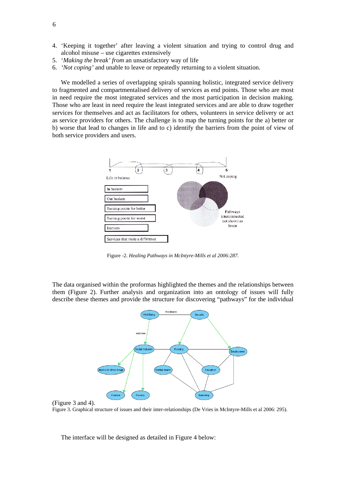- 4. 'Keeping it together' after leaving a violent situation and trying to control drug and alcohol misuse – use cigarettes extensively
- 5. '*Making the break' from* an unsatisfactory way of life
- 6. *'Not coping'* and unable to leave or repeatedly returning to a violent situation.

We modelled a series of overlapping spirals spanning holistic, integrated service delivery to fragmented and compartmentalised delivery of services as end points. Those who are most in need require the most integrated services and the most participation in decision making. Those who are least in need require the least integrated services and are able to draw together services for themselves and act as facilitators for others, volunteers in service delivery or act as service providers for others. The challenge is to map the turning points for the a) better or b) worse that lead to changes in life and to c) identify the barriers from the point of view of both service providers and users.



Figure -2. *Healing Pathways in McIntyre-Mills et al 2006:287.* 

The data organised within the proformas highlighted the themes and the relationships between them (Figure 2). Further analysis and organization into an ontology of issues will fully describe these themes and provide the structure for discovering "pathways" for the individual





Figure 3. Graphical structure of issues and their inter-relationships (De Vries in McIntyre-Mills et al 2006: 295).

The interface will be designed as detailed in Figure 4 below: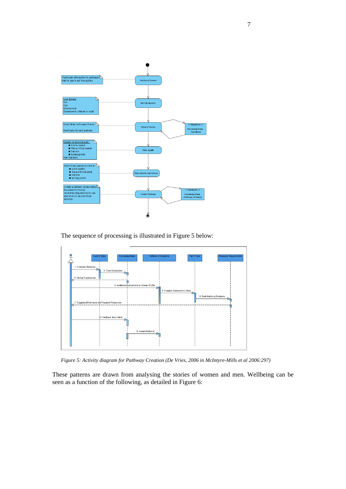

The sequence of processing is illustrated in Figure 5 below:



*Figure 5: Activity diagram for Pathway Creation (De Vries, 2006 in McIntyre-Mills et al 2006:297)* 

These patterns are drawn from analysing the stories of women and men. Wellbeing can be seen as a function of the following, as detailed in Figure 6: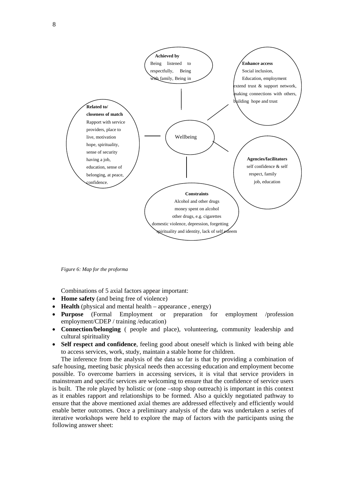

*Figure 6: Map for the proforma* 

Combinations of 5 axial factors appear important:

- **Home safety** (and being free of violence)
- **Health** (physical and mental health appearance, energy)
- **Purpose** (Formal Employment or preparation for employment /profession employment/CDEP / training /education)
- **Connection/belonging** ( people and place), volunteering, community leadership and cultural spirituality
- **Self respect and confidence**, feeling good about oneself which is linked with being able to access services, work, study, maintain a stable home for children.

The inference from the analysis of the data so far is that by providing a combination of safe housing, meeting basic physical needs then accessing education and employment become possible. To overcome barriers in accessing services, it is vital that service providers in mainstream and specific services are welcoming to ensure that the confidence of service users is built. The role played by holistic or (one –stop shop outreach) is important in this context as it enables rapport and relationships to be formed. Also a quickly negotiated pathway to ensure that the above mentioned axial themes are addressed effectively and efficiently would enable better outcomes. Once a preliminary analysis of the data was undertaken a series of iterative workshops were held to explore the map of factors with the participants using the following answer sheet: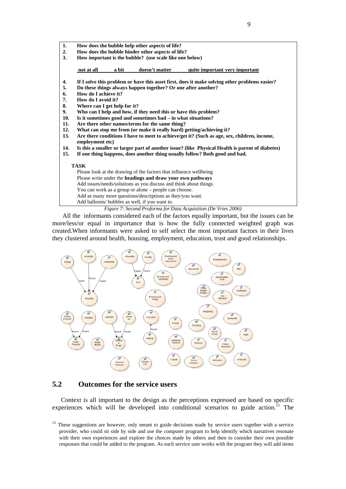

*Figure 7: Second Proforma for Data Acquisition (De Vries 2006)* 

Add as many more questions/descriptions as they/you want.

Add balloons/ bubbles as well, if you want to.

All the informants considered each of the factors equally important, but the issues can be more/less/or equal in importance that is how the fully connected weighted graph was created.When informants were asked to self select the most important factors in their lives they clustered around health, housing, employment, education, trust and good relationships.



# **5.2 Outcomes for the service users**

Context is all important to the design as the perceptions expressed are based on specific experiences which will be developed into conditional scenarios to guide action.<sup>11</sup> The

<sup>&</sup>lt;sup>11</sup> These suggestions are however, only meant to guide decisions made by service users together with a service provider, who could sit side by side and use the computer program to help identify which narratives resonate with their own experiences and explore the choices made by others and then to consider their own possible responses that could be added to the program. As each service user works with the program they will add items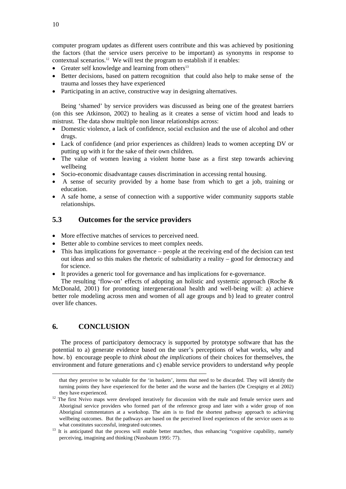computer program updates as different users contribute and this was achieved by positioning the factors (that the service users perceive to be important) as synonyms in response to contextual scenarios.<sup>12</sup> We will test the program to establish if it enables:

- Greater self knowledge and learning from others<sup>13</sup>
- Better decisions, based on pattern recognition that could also help to make sense of the trauma and losses they have experienced
- Participating in an active, constructive way in designing alternatives.

Being 'shamed' by service providers was discussed as being one of the greatest barriers (on this see Atkinson, 2002) to healing as it creates a sense of victim hood and leads to mistrust. The data show multiple non linear relationships across:

- Domestic violence, a lack of confidence, social exclusion and the use of alcohol and other drugs.
- Lack of confidence (and prior experiences as children) leads to women accepting DV or putting up with it for the sake of their own children.
- The value of women leaving a violent home base as a first step towards achieving wellbeing
- Socio-economic disadvantage causes discrimination in accessing rental housing.
- A sense of security provided by a home base from which to get a job, training or education.
- A safe home, a sense of connection with a supportive wider community supports stable relationships.

# **5.3 Outcomes for the service providers**

- More effective matches of services to perceived need.
- Better able to combine services to meet complex needs.
- This has implications for governance people at the receiving end of the decision can test out ideas and so this makes the rhetoric of subsidiarity a reality – good for democracy and for science.
- It provides a generic tool for governance and has implications for e-governance.

The resulting 'flow-on' effects of adopting an holistic and systemic approach (Roche  $\&$ McDonald, 2001) for promoting intergenerational health and well-being will: a) achieve better role modeling across men and women of all age groups and b) lead to greater control over life chances.

# **6. CONCLUSION**

1

The process of participatory democracy is supported by prototype software that has the potential to a) generate evidence based on the user's perceptions of what works, why and how. b) encourage people to *think about the implications* of their choices for themselves, the environment and future generations and c) enable service providers to understand *wh*y people

that they perceive to be valuable for the 'in baskets', items that need to be discarded. They will identify the turning points they have experienced for the better and the worse and the barriers (De Crespigny et al 2002)

they have experienced.<br><sup>12</sup> The first Nvivo maps were developed iteratively for discussion with the male and female service users and Aboriginal service providers who formed part of the reference group and later with a wider group of non Aboriginal commentators at a workshop. The aim is to find the shortest pathway approach to achieving wellbeing outcomes. But the pathways are based on the perceived lived experiences of the service users as to

what constitutes successful, integrated outcomes.<br><sup>13</sup> It is anticipated that the process will enable better matches, thus enhancing "cognitive capability, namely perceiving, imagining and thinking (Nussbaum 1995: 77).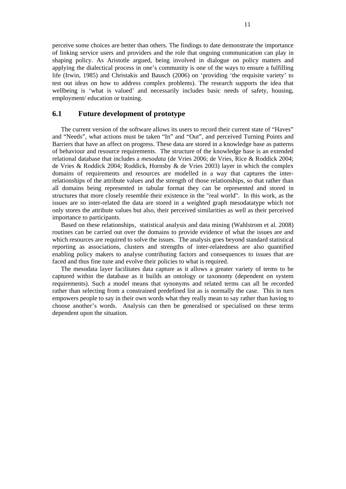perceive some choices are better than others. The findings to date demonstrate the importance of linking service users and providers and the role that ongoing communication can play in shaping policy. As Aristotle argued, being involved in dialogue on policy matters and applying the dialectical process in one's community is one of the ways to ensure a fulfilling life (Irwin, 1985) and Christakis and Bausch (2006) on 'providing 'the requisite variety' to test out ideas on how to address complex problems). The research supports the idea that wellbeing is 'what is valued' and necessarily includes basic needs of safety, housing, employment/ education or training.

# **6.1 Future development of prototype**

The current version of the software allows its users to record their current state of "Haves" and "Needs", what actions must be taken "In" and "Out", and perceived Turning Points and Barriers that have an affect on progress. These data are stored in a knowledge base as patterns of behaviour and resource requirements. The structure of the knowledge base is an extended relational database that includes a *mesodata* (de Vries 2006; de Vries, Rice & Roddick 2004; de Vries & Roddick 2004; Roddick, Hornsby & de Vries 2003) layer in which the complex domains of requirements and resources are modelled in a way that captures the interrelationships of the attribute values and the strength of those relationships, so that rather than all domains being represented in tabular format they can be represented and stored in structures that more closely resemble their existence in the "real world". In this work, as the issues are so inter-related the data are stored in a weighted graph mesodatatype which not only stores the attribute values but also, their perceived similarities as well as their perceived importance to participants.

Based on these relationships, statistical analysis and data mining (Wahlstrom et al. 2008) routines can be carried out over the domains to provide evidence of what the issues are and which resources are required to solve the issues. The analysis goes beyond standard statistical reporting as associations, clusters and strengths of inter-relatedness are also quantified enabling policy makers to analyse contributing factors and consequences to issues that are faced and thus fine tune and evolve their policies to what is required.

The mesodata layer facilitates data capture as it allows a greater variety of terms to be captured within the database as it builds an ontology or taxonomy (dependent on system requirements). Such a model means that synonyms and related terms can all be recorded rather than selecting from a constrained predefined list as is normally the case. This in turn empowers people to say in their own words what they really mean to say rather than having to choose another's words. Analysis can then be generalised or specialised on these terms dependent upon the situation.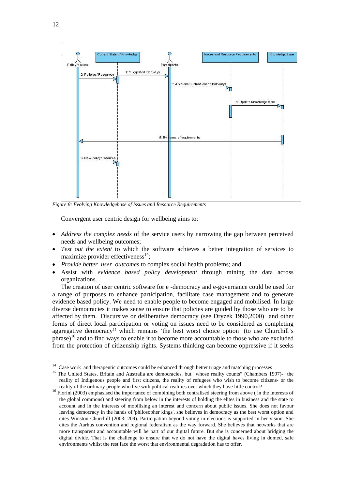

*Figure 8: Evolving Knowledgebase of Issues and Resource Requirements* 

Convergent user centric design for wellbeing aims to:

- *Address the complex needs* of the service users by narrowing the gap between perceived needs and wellbeing outcomes;
- *Test out the extent* to which the software achieves a better integration of services to maximize provider effectiveness $^{14}$ ;
- *Provide better user outcomes* to complex social health problems; and
- Assist with *evidence based policy development* through mining the data across organizations.

The creation of user centric software for e -democracy and e-governance could be used for a range of purposes to enhance participation, facilitate case management and to generate evidence based policy. We need to enable people to become engaged and mobilised. In large diverse democracies it makes sense to ensure that policies are guided by those who are to be affected by them. Discursive or deliberative democracy (see Dryzek 1990,2000) and other forms of direct local participation or voting on issues need to be considered as completing aggregative democracy<sup>15</sup> which remains 'the best worst choice option' (to use Churchill's phrase)<sup>16</sup> and to find ways to enable it to become more accountable to those who are excluded from the protection of citizenship rights. Systems thinking can become oppressive if it seeks

<sup>&</sup>lt;sup>14</sup> Case work and therapeutic outcomes could be enhanced through better triage and matching processes <sup>15</sup> The United States, Britain and Australia are democracies, but "whose reality counts" (Chambers 1997)- the reality of Indigenous people and first citizens, the reality of refugees who wish to become citizens- or the

reality of the ordinary people who live with political realities over which they have little control? 16 Florini (2003) emphasised the importance of combining both centralised steering from above ( in the interests of the global commons) and steering from below in the interests of holding the elites in business and the state to account and in the interests of mobilising an interest and concern about public issues. She does not favour leaving democracy in the hands of 'philosopher kings', she believes in democracy as the best worst option and cites Winston Churchill (2003: 209). Participation beyond voting in elections is supported in her vision. She cites the Aarhus convention and regional federalism as the way forward. She believes that networks that are more transparent and accountable will be part of our digital future. But she is concerned about bridging the digital divide. That is the challenge to ensure that we do not have the digital haves living in domed, safe environments whilst the rest face the worst that environmental degradation has to offer.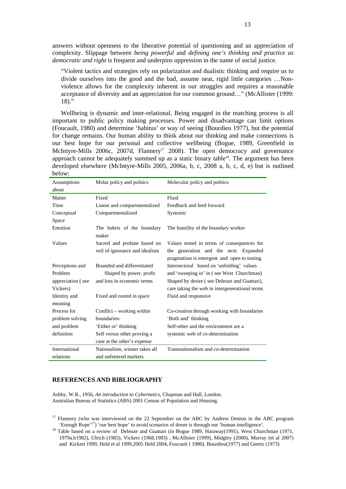answers without openness to the liberative potential of questioning and an appreciation of complexity. Slippage between *being powerful* and *defining one's thinking and practice as democratic and right* is frequent and underpins oppression in the name of social justice.

"Violent tactics and strategies rely on polarization and dualistic thinking and require us to divide ourselves into the good and the bad, assume neat, rigid little categories …Nonviolence allows for the complexity inherent in our struggles and requires a reasonable acceptance of diversity and an appreciation for our common ground…" (McAllister (1999:  $18$ )."

Wellbeing is dynamic and inter-relational. Being engaged in the matching process is all important to public policy making processes. Power and disadvantage can limit options (Foucault, 1980) and determine 'habitus' or way of seeing (Bourdieu 1977), but the potential for change remains. Our human ability to think about our thinking and make connections is our best hope for our personal and collective wellbeing (Bogue, 1989, Greenfield in McIntyre-Mills 2006c, 2007d, Flannery<sup>17</sup> 2008). The open democracy and governance approach cannot be adequately summed up as a static binary table<sup>18</sup>. The argument has been developed elsewhere (McIntyre-Mills 2005, 2006a, b, c, 2008 a, b, c, d, e) but is outlined below:

| Assumptions       | Molar policy and politics           | Molecular policy and politics                                                        |
|-------------------|-------------------------------------|--------------------------------------------------------------------------------------|
| about             |                                     |                                                                                      |
| Matter            | Fixed                               | Fluid                                                                                |
| Time              | Linear and compartmentalized        | Feedback and feed forward                                                            |
| Conceptual        | Compartmentalized                   | Systemic                                                                             |
| Space             |                                     |                                                                                      |
| Emotion           | The hubris of the boundary<br>maker | The humility of the boundary worker                                                  |
| Values            | Sacred and profane based on         | Values tested in terms of consequences for                                           |
|                   | veil of ignorance and idealism      | the generation and the next. Expanded<br>pragmatism is emergent and open to testing. |
| Perceptions and   | Bounded and differentiated          | Intersectoral based on 'unfolding' values                                            |
| Problem           | Shaped by power, profit             | and 'sweeping in' in (see West Churchman)                                            |
| appreciation (see | and loss in economic terms          | Shaped by desire (see Deleuze and Guattari),                                         |
| Vickers)          |                                     | care taking the web in intergenerational terms                                       |
| Identity and      | Fixed and rooted in space           | Fluid and responsive                                                                 |
| meaning           |                                     |                                                                                      |
| Process for       | Conflict – working within           | Co-creation through working with boundaries                                          |
| problem solving   | boundaries-                         | 'Both and' thinking                                                                  |
| and problem       | 'Either or' thinking                | Self-other and the environment are a                                                 |
| definition        | Self versus other proving a         | systemic web of co-determination                                                     |
|                   | case at the other's expense         |                                                                                      |
| International     | Nationalism, winner takes all       | Transnationalism and co-determination                                                |
| relations         | and unfettered markets              |                                                                                      |

#### **REFERENCES AND BIBLIOGRAPHY**

Ashby, W.R., 1956, *An introduction to Cybernetics*, Chapman and Hall, London. Australian Bureau of Statistics (ABS) 2001 Census of Population and Housing.

<sup>17</sup> Flannery (who was interviewed on the 22 September on the ABC by Andrew Denton in the ABC program 'Enough Rope'<sup>17</sup>) 'our best hope' to avoid scenarios of doom is through our 'human intelligence'.<br><sup>18</sup> Table based on a review of Deleuze and Guattari (in Bogue 1989, Haraway(1991), West Churchman (1971,

1979a.b1982), Ulrich (1983), Vickers (1968,1983) , McAllister (1999), Midgley (2000), Murray (et al 2007) and Kickert 1999, Held et al 1999,2005 Held 2004, Foucault ( 1980), Bourdieu(1977) and Geertz (1973)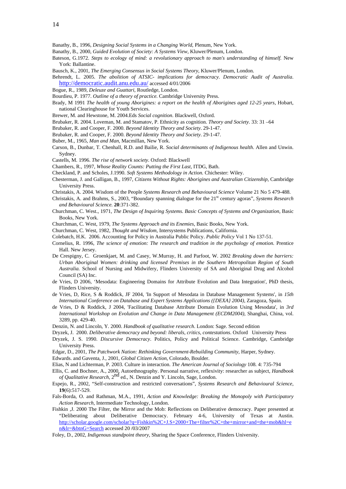- Banathy, B., 1996, *Designing Social Systems in a Changing World*, Plenum, New York.
- Banathy, B., 2000, *Guided Evolution of Society: A Systems View*, Kluwer/Plenum, London.
- Bateson, G.1972. *Steps to ecology of mind: a revolutionary approach to man's understanding of himself.* New York: Ballantine.
- Bausch, K., 2001, *The Emerging Consensus in Social Systems Theory*, Kluwer/Plenum, London.

Behrendt, L. 2005. *The abolition of ATSIC- implications for democracy. Democratic Audit of Australia*. http://democratic.audit.anu.edu.au/ accessed 4/01/2006

- Bogue, R., 1989, *Deleuze and Guattari,* Routledge, London.
- Bourdieu, P. 1977. *Outline of a theory of practice.* Cambridge University Press.
- Brady, M 1991 *The health of young Aborigines: a report on the health of Aborigines aged 12-25 years*, Hobart, national Clearinghouse for Youth Services.
- Brewer, M. and Hewstone, M. 2004.Eds *Social cognition*. Blackwell, Oxford.
- Brubaker, R. 2004. Loveman, M. and Stamatov, P. Ethnicity as cognition. *Theory and Society*. 33: 31 –64
- Brubaker, R. and Cooper, F. 2000. *Beyond Identity Theory and Society*. 29-1-47.
- Brubaker, R. and Cooper, F. 2000. *Beyond Identity Theory and Society*. 29-1-47.
- Buber, M., 1965, *Man and Man,* Macmillan, New York.
- Carson, B., Dunbar, T. Chenhall, R.D. and Bailie, R. *Social determinants of Indigenous health*. Allen and Unwin. Sydney.
- Castells, M. 1996. *The rise of network society*. Oxford: Blackwell
- Chambers, R., 1997, *Whose Reality Counts: Putting the First Last*, ITDG, Bath.
- Checkland, P. and Scholes, J.1990. *Soft Systems Methodology in Action.* Chichester: Wiley.
- Chesterman, J. and Galligan, B., 1997, *Citizens Without Rights: Aborigines and Australian Citizenship*, Cambridge University Press.
- Christakis, A. 2004. Wisdom of the People *Systems Research and Behavioural Science* Volume 21 No 5 479-488.
- Christakis, A. and Brahms, S., 2003, "Boundary spanning dialogue for the 21st century agoras", *Systems Research and Behavioural Science.* **20**:371-382.
- Churchman, C. West., 1971, *The Design of Inquiring Systems. Basic Concepts of Systems and Organization,* Basic Books, New York.
- Churchman, C. West, 1979, *The Systems Approach and its Enemies*, Basic Books, New York.
- Churchman, C. West, 1982, *Thought and Wisdom,* Intersystems Publications, California.
- Colebatch, H.K. 2006. Accounting for Policy in Australia Public Policy. *Public Policy* Vol 1 No 137-51.
- Cornelius, R. 1996, *The science of emotion: The research and tradition in the psychology of emotion.* Prentice Hall. New Jersey.
- De Crespigny, C. Groenkjaet, M. and Casey, W.Murray, H. and Parfoot, W. 2002 *Breaking down the barriers: Urban Aboriginal Women: drinking and licensed Premises in the Southern Metropolitan Region of South Australia.* School of Nursing and Midwifery, Flinders University of SA and Aboriginal Drug and Alcohol Council (SA) Inc.
- de Vries, D 2006, 'Mesodata: Engineering Domains for Attribute Evolution and Data Integration', PhD thesis, Flinders University.
- de Vries, D, Rice, S & Roddick, JF 2004, 'In Support of Mesodata in Database Management Systems', in *15th International Conference on Database and Expert Systems Applications ({DEXA} 2004)*, Zaragoza, Spain.
- de Vries, D & Roddick, J 2004, 'Facilitating Database Attribute Domain Evolution Using Mesodata', in *3rd International Workshop on Evolution and Change in Data Management (ECDM2004)*, Shanghai, China, vol. 3289, pp. 429-40.
- Denzin, N. and Lincoln, Y. 2000. *Handbook of qualitative research*. London: Sage. Second edition
- Dryzek, J. 2000. *Deliberative democracy and beyond: liberals, critics, contestations*. Oxford University Press
- Dryzek, J. S. 1990. *Discursive Democracy*. Politics, Policy and Political Science. Cambridge, Cambridge University Press.
- Edgar, D., 2001, *The Patchwork Nation: Rethinking Government-Rebuilding Community*, Harper, Sydney.
- Edwards. and Gaventa, J., 2001, *Global Citizen Action*, Colorado, Boulder.
- Elias, N and Lichterman, P. 2003. Culture in interaction. *The American Journal of Sociology* 108. 4: 735-794
- Ellis, C. and Bochner, A., 2000, Autoethnography. Personal narrative, reflexivity: researcher as subject, *Handbook of Qualitative Research*, 2nd ed., N. Denzin and Y. Lincoln, Sage, London.
- Espejo, R., 2002, "Self-construction and restricted conversations", *Systems Research and Behavioural Science*, **19**(6):517-529.
- Fals-Borda, O. and Rathman, M.A., 1991, *Action and Knowledge: Breaking the Monopoly with Participatory Action Research,* Intermediate Technology, London.
- Fishkin ,J. 2000 The Filter, the Mirror and the Mob: Reflections on Deliberative democracy. Paper presented at "Deliberating about Deliberative Democracy. February 4-6, University of Texas at Austin. http://scholar.google.com/scholar?q=Fishkin%2C+J.S+2000+The+filter%2C+the+mirror+and+the+mob&hl=e n&lr=&btnG=Search accessed 20 /03/2007
- Foley, D., 2002, *Indigenous standpoint theory,* Sharing the Space Conference, Flinders University.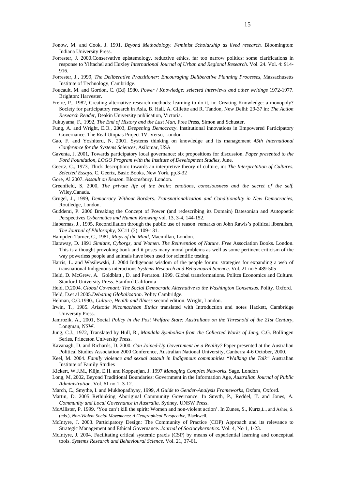- Fonow, M. and Cook, J. 1991. *Beyond Methodology. Feminist Scholarship as lived research.* Bloomington: Indiana University Press.
- Forrester, J. 2000.Conservative epistemology, reductive ethics, far too narrow politics: some clarifications in response to Yiftachel and Huxley *International Journal of Urban and Regional Research*. Vol. 24. Vol. 4: 914- 916.
- Forrester, J., 1999, *The Deliberative Practitioner: Encouraging Deliberative Planning Processes,* Massachusetts Institute of Technology, Cambridge.
- Foucault, M. and Gordon, C. (Ed) 1980. *Power / Knowledge: selected interviews and other writings* 1972-1977. Brighton: Harvester.
- Freire, P., 1982, Creating alternative research methods: learning to do it, in: Creating Knowledge: a monopoly? Society for participatory research in Asia, B. Hall, A. Gillette and R. Tandon, New Delhi: 29-37 in: *The Action Research Reader*, Deakin University publication, Victoria.

Fukuyama, F., 1992, *The End of History and the Last Man,* Free Press, Simon and Schuster.

- Fung, A. and Wright, E.O., 2003, *Deepening Democracy*. Institutional innovations in Empowered Participatory Governance. The Real Utopias Project 1V. Verso, London.
- Gao, F. and Yoshiteru, N. 2001. Systems thinking on knowledge and its management *45th International Conference for the Systems Sciences,* Asilomar, USA
- Gaventa, J. 2001, Towards participatory local governance: six propositions for discussion. *Paper presented to the Ford Foundation, LOGO Program with the Institute of Development Studies*, June.
- Geertz, C., 1973, Thick description: towards an interpretive theory of culture, in: *The Interpretation of Cultures. Selected Essays,* C. Geertz, Basic Books, New York, pp.3-32
- Gore, Al 2007. *Assault on Reason.* Bloomsbury. London.
- Greenfield, S, 2000, *The private life of the brain: emotions, consciousness and the secret of the self.* Wiley.Canada.
- Grugel, J., 1999, *Democracy Without Borders. Transnationalization and Conditionality in New Democracies,* Routledge, London.
- Guddemi, P. 2006 Breaking the Concept of Power (and redescribing its Domain) Batesonian and Autopoetic Perspectives *Cybernetics and Human Knowing* vol. 13, 3-4, 144-152.
- Habermas, J., 1995, Reconciliation through the public use of reason: remarks on John Rawls's political liberalism, *The Journal of Philosophy*, XC11 (3): 109-131.
- Hampden-Turner, C., 1981, *Maps of the Mind*, Macmillan, London.
- Haraway, D. 1991 *Simians, Cyborgs, and Women. The Reinvention of Nature. Free* Association Books. London. This is a thought provoking book and it poses many moral problems as well as some pertinent criticism of the way powerless people and animals have been used for scientific testing.
- Harris, L. and Wasilewski, J. 2004 Indigenous wisdom of the people forum: strategies for expanding a web of transnational Indigenous interactions *Systems Research and Behavioural Science*. Vol. 21 no 5 489-505
- Held, D. McGrew, A. Goldblatt , D. and Perraton. 1999. Global transformations. Politcs Economics and Culture. Stanford University Press. Stanford California

Held, D.2004. *Global Covenant: The Social Democratic Alternative to the Washington Consensus*. Polity. Oxford. Held, D.et al 2005.*Debating Globalization*. Polity Cambridge.

- Helman, C.G.1990., *Culture, Health and Illness* second edition. Wright, London.
- Irwin, T., 1985. *Aristotle Nicomachean Ethics* translated with Introduction and notes Hackett, Cambridge University Press.
- Jamrozik, A., 2001, Social *Policy in the Post Welfare State: Australians on the Threshold of the 21st Century*, Longman, NSW.
- Jung, C.J., 1972, Translated by Hull, R., *Mandala Symbolism from the Collected Works of Jung*, C.G. Bollingen Series, Princeton University Press.
- Kavanagh, D. and Richards, D. 2000. *Can Joined-Up Government be a Reality?* Paper presented at the Australian Political Studies Association 2000 Conference, Australian National University, Canberra 4-6 October, 2000.
- Keel, M. 2004. *Family violence and sexual assault in Indigenous communities "Walking the Talk"* Australian Institute of Family Studies
- Kickert, W.J.M., Klijn, E.H. and Koppenjan, J. 1997 *Managing Complex Networks*. Sage. London
- Long, M, 2002, Beyond Traditional Boundaries: Government in the Information Age, *Australian Journal of Public Administration*. Vol. 61 no.1: 3-12.
- March, C., Smythe, I. and Mukhopadhyay, 1999, *A Guide to Gender-Analysis Frameworks*, Oxfam, Oxford.
- Martin, D. 2005 Rethinking Aboriginal Community Governance. In Smyth, P., Reddel, T. and Jones, A. *Community and Local Governance in Australia*. Sydney. UNSW Press.
- McAllister, P. 1999. 'You can't kill the spirit: Women and non-violent action'. In Zunes, S., Kurtz,L., and Asher, S. (eds.), *Non-Violent Social Movements: A Geographical Perspective*, Blackwell,
- McIntyre, J. 2003. Participatory Design: The Community of Practice (COP) Approach and its relevance to Strategic Management and Ethical Governance. *Journal of Sociocybernetics*. Vol. 4, No 1, 1-23.
- McIntyre, J. 2004. Facilitating critical systemic praxis (CSP) by means of experiential learning and conceptual tools. *Systems Research and Behavioural Science*. Vol. 21, 37-61.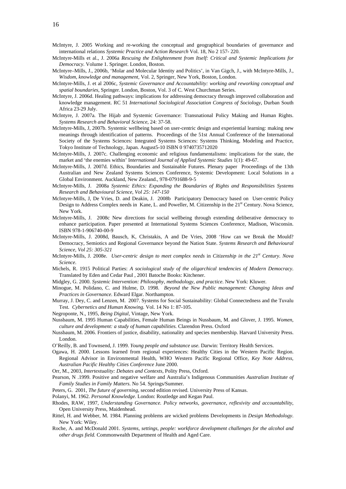- McIntyre, J. 2005 Working and re-working the conceptual and geographical boundaries of governance and international relations *Systemic Practice and Action Research* Vol. 18, No 2 157- 220.
- McIntyre-Mills et al., J. 2006a *Rescuing the Enlightenment from Itself: Critical and Systemic Implications for Democracy.* Volume 1. Springer. London, Boston.
- McIntyre–Mills, J., 2006b, 'Molar and Molecular Identity and Politics', in Van Gigch, J., with McIntyre-Mills, J., *Wisdom, knowledge and management,* Vol. 2, Springer, New York, Boston, London.
- McIntyre-Mills, J. et al 2006c, *Systemic Governance and Accountability: working and reworking conceptual and spatial boundaries*, Springer. London, Boston, Vol. 3 of C. West Churchman Series.
- McIntyre, J. 2006d. Healing pathways: implications for addressing democracy through improved collaboration and knowledge management. RC 51 *International Sociological Association Congress of Sociology*, Durban South Africa 23-29 July.
- McIntyre, J. 2007a. The Hijab and Systemic Governance: Transnational Policy Making and Human Rights. *Systems Research and Behavioral Science*, 24: 37-58.
- McIntyre-Mills, J, 2007b. Systemic wellbeing based on user-centric design and experiential learning: making new meanings through identification of patterns. Proceedings of the 51st Annual Conference of the International Society of the Systems Sciences: Integrated Systems Sciences: Systems Thinking, Modeling and Practice, Tokyo Institute of Technology, Japan. August5-10 ISBN 0 9740735712020
- McIntyre-Mills, J. 2007c. Challenging economic and religious fundamentalisms: implications for the state, the market and 'the enemies within' I*nternational Journal of Applied Systemic Studies* 1(1): 49-67.
- McIntyre-Mills, J. 2007d. Ethics, Boundaries and Sustainable Futures. Plenary paper Proceedings of the 13th Australian and New Zealand Systems Sciences Conference, Systemic Development: Local Solutions in a Global Environment. Auckland, New Zealand., 978-0791688-9-5
- McIntyre-Mills, J. 2008a *Systemic Ethics: Expanding the Boundaries of Rights and Responsibilities Systems Research and Behavioural Science, Vol 25: 147-150*
- McIntyre-Mills, J, De Vries, D. and Deakin, J. 2008b Participatory Democracy based on User-centric Policy Design to Address Complex needs in Kane, L. and Poweller, M. Citizenship in the 21<sup>st</sup> Century. Nova Science, New York.
- McIntyre-Mills, J. 2008c New directions for social wellbeing through extending deliberative democracy to enhance participation. Paper presented at International Systems Sciences Conference, Madison, Wisconsin. ISBN 978-1-906740-00-9
- McIntyre-Mills, J. 2008d, Bausch, K, Christakis, A and De Vries, 2008 'How can we Break the Mould? Democracy, Semiotics and Regional Governance beyond the Nation State. *Systems Research and Behavioural Science, Vol 25: 305-321*
- McIntyre-Mills, J. 2008e. *User-centric design to meet complex needs* in *Citizenship in the 21st Century. Nova Science*.
- Michels, R. 1915 Political Parties: *A sociological study of the oligarchical tendencies of Modern Democracy.* Translated by Eden and Cedar Paul , 2001 Batoche Books: Kitchener.
- Midgley, G. 2000. *Systemic Intervention: Philosophy, methodology, and practice*. New York: Kluwer.
- Minogue, M. Polidano, C. and Hulme, D. 1998. *Beyond the New Public management: Changing Ideas and Practices in Governance.* Edward Elgar. Northampton.
- Murray, J. Dey, C. and Lenzen, M. 2007. Systems for Social Sustainability: Global Connectedness and the Tuvalu Test*. Cybernetics and Human Knowing.* Vol. 14 No 1: 87-105.
- Negroponte, N., 1995, *Being Digital,* Vintage, New York.
- Nussbaum, M. 1995 Human Capabilities, Female Human Beings in Nussbaum, M. and Glover, J. 1995. *Women, culture and development: a study of human capabilities.* Clarendon Press. Oxford
- Nussbaum, M. 2006. Frontiers of justice, disability, nationality and species membership. Harvard University Press. London.
- O'Reilly, B. and Townsend, J. 1999. *Young people and substance use.* Darwin: Territory Health Services.
- Ogawa, H. 2000. Lessons learned from regional experiences: Healthy Cities in the Western Pacific Region. Regional Advisor in Environmental Health, WHO Western Pacific Regional Office, *Key Note Address, Australian Pacific Healthy Cities Conference* June 2000.
- Orr, M., 2003, *Intertextuality: Debates and Contexts,* Polity Press, Oxford.
- Pearson, N .1999. Positive and negative welfare and Australia's Indigenous Communities *Australian Institute of Family Studies in Family Matters*. No 54. Springs/Summer.
- Peters, G. 2001, *The future of governing,* second edition revised. University Press of Kansas.
- Polanyi, M. 1962. *Personal Knowledge*. London: Routledge and Kegan Paul.
- Rhodes, RAW, 1997, *Understanding Governance. Policy networks, governance, reflexivity and accountability*, Open University Press, Maidenhead.
- Rittel, H. and Webber, M. 1984. Planning problems are wicked problems Developments in *Design Methodology*. New York: Wiley.
- Roche, A. and McDonald 2001. *Systems, settings, people: workforce development challenges for the alcohol and other drugs field.* Commonwealth Department of Health and Aged Care.